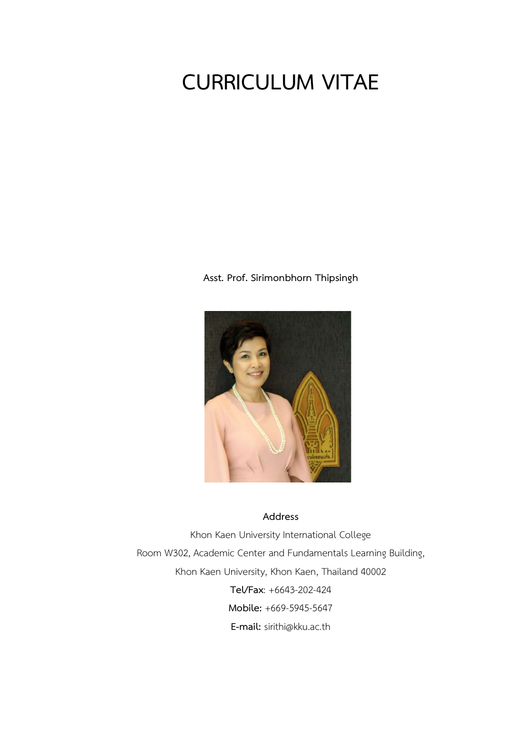# CURRICULUM VITAE

Asst. Prof. Sirimonbhorn Thipsingh



# Address

Khon Kaen University International College Room W302, Academic Center and Fundamentals Learning Building, Khon Kaen University, Khon Kaen, Thailand 40002 Tel/Fax: +6643-202-424 Mobile: +669-5945-5647 E-mail: sirithi@kku.ac.th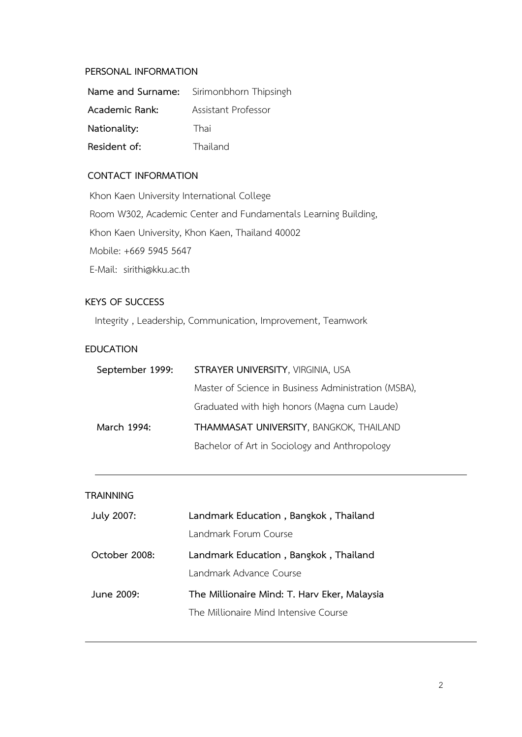#### PERSONAL INFORMATION

|                | <b>Name and Surname:</b> Sirimonbhorn Thipsingh |
|----------------|-------------------------------------------------|
| Academic Rank: | Assistant Professor                             |
| Nationality:   | Thai                                            |
| Resident of:   | Thailand                                        |

# CONTACT INFORMATION

Khon Kaen University International College Room W302, Academic Center and Fundamentals Learning Building, Khon Kaen University, Khon Kaen, Thailand 40002 Mobile: +669 5945 5647 E-Mail: sirithi@kku.ac.th

# KEYS OF SUCCESS

Integrity , Leadership, Communication, Improvement, Teamwork

## EDUCATION

| September 1999: | STRAYER UNIVERSITY, VIRGINIA, USA                    |
|-----------------|------------------------------------------------------|
|                 | Master of Science in Business Administration (MSBA), |
|                 | Graduated with high honors (Magna cum Laude)         |
| March 1994:     | THAMMASAT UNIVERSITY, BANGKOK, THAILAND              |
|                 | Bachelor of Art in Sociology and Anthropology        |

# **TRAINNING**

| July 2007:    | Landmark Education, Bangkok, Thailand        |
|---------------|----------------------------------------------|
|               | Landmark Forum Course                        |
| October 2008: | Landmark Education, Bangkok, Thailand        |
|               | Landmark Advance Course                      |
| June 2009:    | The Millionaire Mind: T. Harv Eker, Malaysia |
|               | The Millionaire Mind Intensive Course        |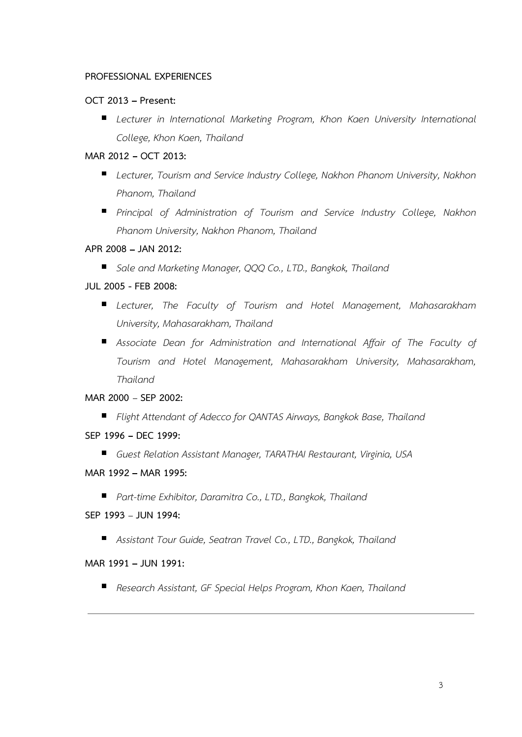## PROFESSIONAL EXPERIENCES

## OCT 2013 - Present:

**Lecturer in International Marketing Program, Khon Kaen University International** College, Khon Kaen, Thailand

# MAR 2012 - OCT 2013:

- **Lecturer, Tourism and Service Industry College, Nakhon Phanom University, Nakhon** Phanom, Thailand
- **Pincipal of Administration of Tourism and Service Industry College, Nakhon** Phanom University, Nakhon Phanom, Thailand

## APR 2008 - JAN 2012:

■ Sale and Marketing Manager, QQQ Co., LTD., Bangkok, Thailand

# JUL 2005 - FEB 2008:

- Lecturer, The Faculty of Tourism and Hotel Management, Mahasarakham University, Mahasarakham, Thailand
- **Associate Dean for Administration and International Affair of The Faculty of** Tourism and Hotel Management, Mahasarakham University, Mahasarakham, Thailand

## MAR 2000 - SEP 2002:

- Flight Attendant of Adecco for QANTAS Airways, Bangkok Base, Thailand
- SEP 1996 DEC 1999:
	- Guest Relation Assistant Manager, TARATHAI Restaurant, Virginia, USA

## MAR 1992 - MAR 1995:

Part-time Exhibitor, Daramitra Co., LTD., Bangkok, Thailand

## SEP 1993 - JUN 1994:

Assistant Tour Guide, Seatran Travel Co., LTD., Bangkok, Thailand

## MAR 1991 - JUN 1991:

Research Assistant, GF Special Helps Program, Khon Kaen, Thailand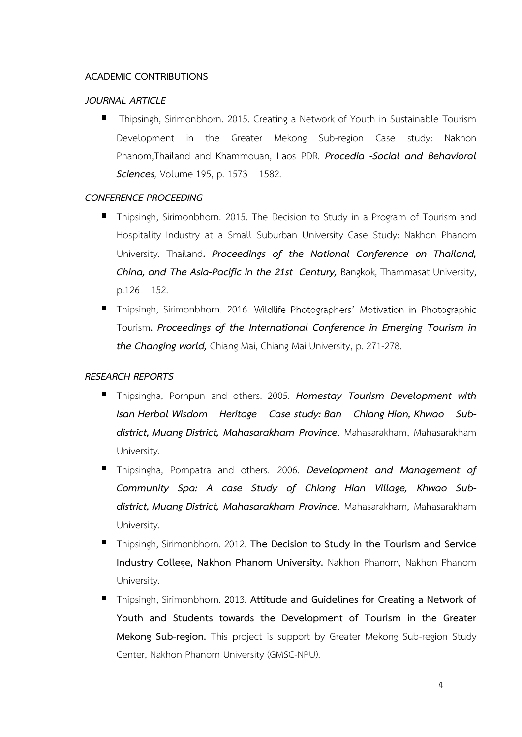## ACADEMIC CONTRIBUTIONS

#### JOURNAL ARTICLE

 $\blacksquare$ Thipsingh, Sirimonbhorn. 2015. Creating a Network of Youth in Sustainable Tourism Development in the Greater Mekong Sub-region Case study: Nakhon Phanom, Thailand and Khammouan, Laos PDR. Procedia -Social and Behavioral **Sciences**, Volume 195, p. 1573 - 1582.

## CONFERENCE PROCEEDING

- Thipsingh, Sirimonbhorn. 2015. The Decision to Study in a Program of Tourism and Hospitality Industry at a Small Suburban University Case Study: Nakhon Phanom University. Thailand. Proceedings of the National Conference on Thailand, China, and The Asia-Pacific in the 21st Century, Bangkok, Thammasat University,  $p.126 - 152.$
- Thipsingh, Sirimonbhorn. 2016. Wildlife Photographers' Motivation in Photographic Tourism. Proceedings of the International Conference in Emerging Tourism in the Changing world, Chiang Mai, Chiang Mai University, p. 271-278.

## RESEARCH REPORTS

- $\blacksquare$ Thipsingha, Pornpun and others. 2005. Homestay Tourism Development with Isan Herbal Wisdom Heritage Case study: Ban Chiang Hian, Khwao Sub district, Muang District, Mahasarakham Province. Mahasarakham, Mahasarakham University.
- Thipsingha, Pornpatra and others. 2006. Development and Management of Community Spa: A case Study of Chiang Hian Village, Khwao Sub district, Muang District, Mahasarakham Province. Mahasarakham, Mahasarakham University.
- Thipsingh, Sirimonbhorn. 2012. The Decision to Study in the Tourism and Service Industry College, Nakhon Phanom University. Nakhon Phanom, Nakhon Phanom University.
- Thipsingh, Sirimonbhorn. 2013. Attitude and Guidelines for Creating a Network of Youth and Students towards the Development of Tourism in the Greater Mekong Sub-region. This project is support by Greater Mekong Sub-region Study Center, Nakhon Phanom University (GMSC-NPU).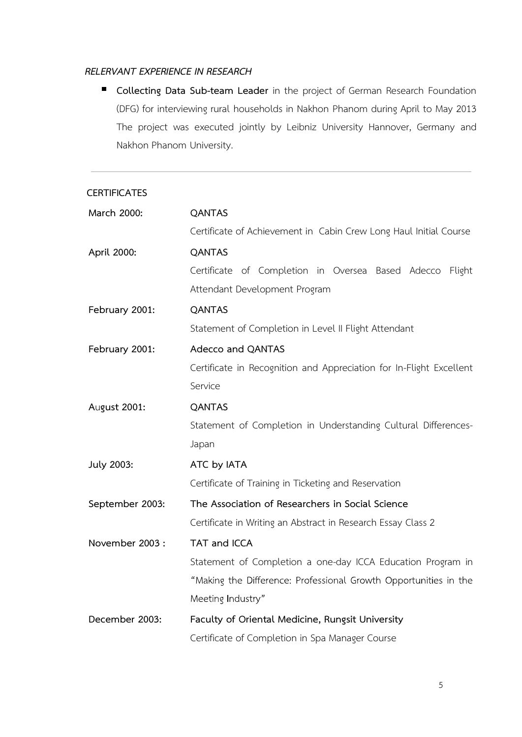#### RELERVANT EXPERIENCE IN RESEARCH

Collecting Data Sub-team Leader in the project of German Research Foundation (DFG) for interviewing rural households in Nakhon Phanom during April to May 2013 The project was executed jointly by Leibniz University Hannover, Germany and Nakhon Phanom University.

#### **CERTIFICATES**

| March 2000:     | <b>QANTAS</b>                                                       |
|-----------------|---------------------------------------------------------------------|
|                 | Certificate of Achievement in Cabin Crew Long Haul Initial Course   |
| April 2000:     | <b>QANTAS</b>                                                       |
|                 | Certificate of Completion in Oversea Based Adecco Flight            |
|                 | Attendant Development Program                                       |
| February 2001:  | <b>QANTAS</b>                                                       |
|                 | Statement of Completion in Level II Flight Attendant                |
| February 2001:  | Adecco and QANTAS                                                   |
|                 | Certificate in Recognition and Appreciation for In-Flight Excellent |
|                 | Service                                                             |
| August 2001:    | <b>QANTAS</b>                                                       |
|                 | Statement of Completion in Understanding Cultural Differences-      |
|                 | Japan                                                               |
| July 2003:      | ATC by IATA                                                         |
|                 | Certificate of Training in Ticketing and Reservation                |
| September 2003: | The Association of Researchers in Social Science                    |
|                 | Certificate in Writing an Abstract in Research Essay Class 2        |
| November 2003:  | TAT and ICCA                                                        |
|                 | Statement of Completion a one-day ICCA Education Program in         |
|                 | "Making the Difference: Professional Growth Opportunities in the    |
|                 | Meeting Industry"                                                   |
| December 2003:  | Faculty of Oriental Medicine, Rungsit University                    |
|                 | Certificate of Completion in Spa Manager Course                     |